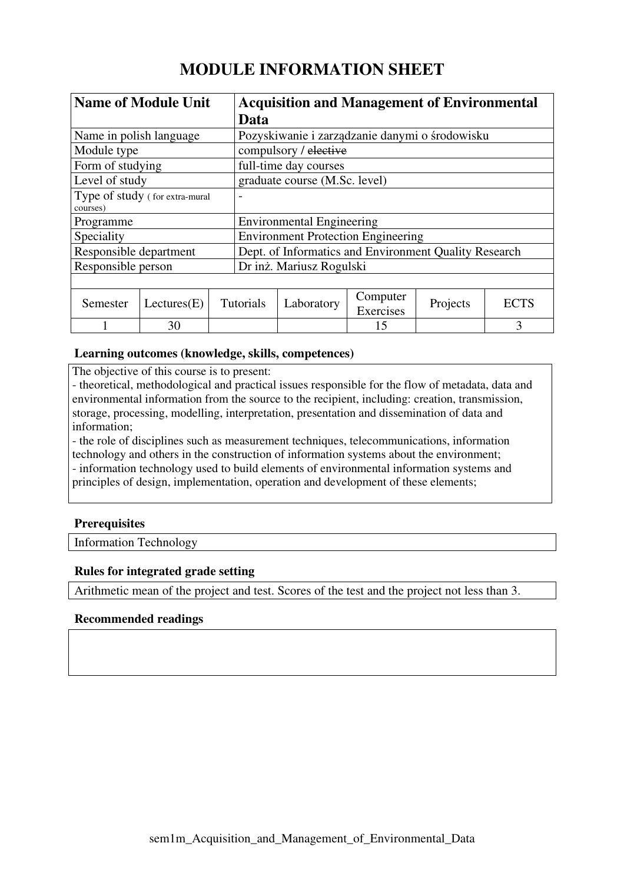# **MODULE INFORMATION SHEET**

| <b>Name of Module Unit</b>                 |             |  | <b>Acquisition and Management of Environmental</b>    |            |                       |          |             |  |
|--------------------------------------------|-------------|--|-------------------------------------------------------|------------|-----------------------|----------|-------------|--|
|                                            |             |  | Data                                                  |            |                       |          |             |  |
| Name in polish language                    |             |  | Pozyskiwanie i zarządzanie danymi o środowisku        |            |                       |          |             |  |
| Module type                                |             |  | compulsory / elective                                 |            |                       |          |             |  |
| Form of studying                           |             |  | full-time day courses                                 |            |                       |          |             |  |
| Level of study                             |             |  | graduate course (M.Sc. level)                         |            |                       |          |             |  |
| Type of study (for extra-mural<br>courses) |             |  |                                                       |            |                       |          |             |  |
| Programme                                  |             |  | <b>Environmental Engineering</b>                      |            |                       |          |             |  |
| Speciality                                 |             |  | <b>Environment Protection Engineering</b>             |            |                       |          |             |  |
| Responsible department                     |             |  | Dept. of Informatics and Environment Quality Research |            |                       |          |             |  |
| Responsible person                         |             |  | Dr inż. Mariusz Rogulski                              |            |                       |          |             |  |
|                                            |             |  |                                                       |            |                       |          |             |  |
| Semester                                   | Lectures(E) |  | <b>Tutorials</b>                                      | Laboratory | Computer<br>Exercises | Projects | <b>ECTS</b> |  |
|                                            | 30          |  |                                                       |            | 15                    |          | 3           |  |

## **Learning outcomes (knowledge, skills, competences)**

The objective of this course is to present:

- theoretical, methodological and practical issues responsible for the flow of metadata, data and environmental information from the source to the recipient, including: creation, transmission, storage, processing, modelling, interpretation, presentation and dissemination of data and information;

- the role of disciplines such as measurement techniques, telecommunications, information technology and others in the construction of information systems about the environment; - information technology used to build elements of environmental information systems and principles of design, implementation, operation and development of these elements;

# **Prerequisites**

Information Technology

## **Rules for integrated grade setting**

Arithmetic mean of the project and test. Scores of the test and the project not less than 3.

## **Recommended readings**